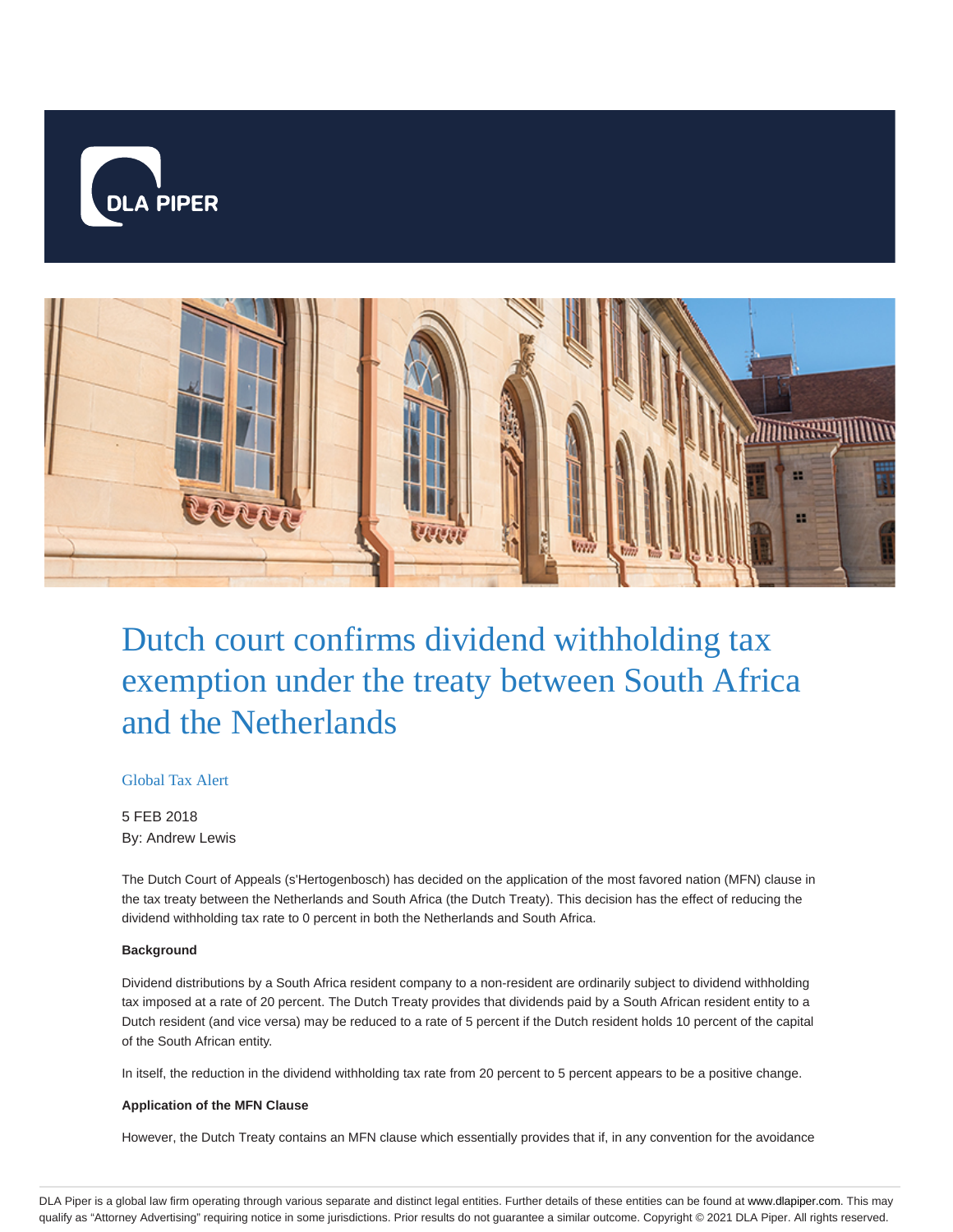



# Dutch court confirms dividend withholding tax exemption under the treaty between South Africa and the Netherlands

## Global Tax Alert

5 FEB 2018 By: Andrew Lewis

The Dutch Court of Appeals (s'Hertogenbosch) has decided on the application of the most favored nation (MFN) clause in the tax treaty between the Netherlands and South Africa (the Dutch Treaty). This decision has the effect of reducing the dividend withholding tax rate to 0 percent in both the Netherlands and South Africa.

### **Background**

Dividend distributions by a South Africa resident company to a non-resident are ordinarily subject to dividend withholding tax imposed at a rate of 20 percent. The Dutch Treaty provides that dividends paid by a South African resident entity to a Dutch resident (and vice versa) may be reduced to a rate of 5 percent if the Dutch resident holds 10 percent of the capital of the South African entity.

In itself, the reduction in the dividend withholding tax rate from 20 percent to 5 percent appears to be a positive change.

#### **Application of the MFN Clause**

However, the Dutch Treaty contains an MFN clause which essentially provides that if, in any convention for the avoidance

DLA Piper is a global law firm operating through various separate and distinct legal entities. Further details of these entities can be found at www.dlapiper.com. This may qualify as "Attorney Advertising" requiring notice in some jurisdictions. Prior results do not guarantee a similar outcome. Copyright © 2021 DLA Piper. All rights reserved.